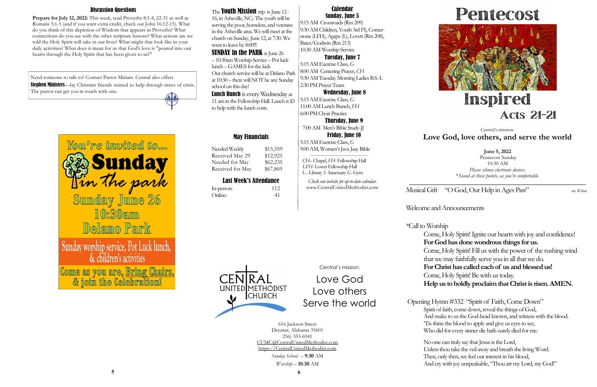Musical Gift "O God, Our Help in Ages Past" *arr. Wilson*

Welcome and Announcements

\*Call to Worship Come, Holy Spirit! Ignite our hearts with joy and confidence! **For God has done wondrous things for us.** Come, Holy Spirit! Fill us with the power of the rushing wind that we may faithfully serve you in all that we do. **For Christ has called each of us and blessed us!** Come, Holy Spirit! Be with us today. **Help us to boldly proclaim that Christ is risen. AMEN.**

No one can truly say that Jesus is the Lord, Unless thou take the veil away and breath the living Word. Then, only then, we feel our interest in his blood, And cry with joy unspeakable, "Thou art my Lord, my God!"

UNITED METHODIST **CHURCH** 

Need someone to talk to? Contact Pastor Miriam. Central also offers Stephen Ministers—lay Christian friends trained to help through times of crisis. The pastor can get you in touch with one. 無人



Opening Hymn #332 "Spirit of Faith, Come Down" Spirit of faith, come down, reveal the things of God, And make to us the God-head known, and witness with the blood. 'Tis thine the blood to apply and give us eyes to see, Who did for every sinner die hath surely died for me.





## May Financials

Needed Weekly \$15,559 Received May 29 \$12,925 Needed for May \$62,235 Received for May \$67,869

# Last Week's Attendance

### The **Youth Mission** trip is June 12 -16, in Asheville, NC;. The youth will be serving the poor, homeless, and veterans

| In-person: | 112 |
|------------|-----|
| Online:    | 41  |

**June 5, 2022** Pentecost Sunday 10:30 AM *Please silence electronic devices*. \**Stand at these points, as you're comfortable.*

**SUNDAY in the PARK** is June 26 – 10:30am Worship Service – Pot luck lunch –GAMES for the kids Our church service will be at Delano Park at 10:30 – there will NOT be any Sunday school on this day!

> Central's mission: **Love God, love others, and serve the world**

**Lunch Bunch** is every Wednesday at 11 am in the Fellowship Hall. Lunch is \$3 to help with the lunch costs.

Central's mission:

Love God

Love others

Serve the world

616 Jackson Street Decatur, Alabama 35601 256) 353-6941 CUMC@CentralUnitedMethodist.com https://CentralUnitedMethodist.com

> *Sunday School* – **9**:**30** AM *Worship* – **10**:**30** AM

### Calendar Sunday, June 5

Prepare for July 12, 2022: This week, read Proverbs 8:1-4, 22-31 as well as Romans 5:1-5 (and if you want extra credit, check out John 16:12-15). What do you think of this depiction of Wisdom that appears in Proverbs? What connections do you see with the other scripture lessons? What actions are we told the Holy Spirit will take in our lives? What might that look like in your daily activities? What does it mean for us that God's love is "poured into our hearts through the Holy Spirit that has been given to us?"

9:15 AM Crossroads (Rm 209) 9:30 AM Children, Youth 3rd Fl), Cornerstone (LFH), Agape (L), Lovett (Rm 208), Bates/Godwin (Rm 213) 10:30 AM Worship Service

## Tuesday, June 7

5:15 AM Exercise Class, *G*  8:00 AM Centering Prayer, *CH* 9:30 AM Tuesday Morning Ladies B.S.-L 2:30 PM Prayer Team

## Wednesday, June 8

5:15 AM Exercise Class, *G*  11:00 AM Lunch Bunch, *FH* 6:00 PM Choir Practice

 Thursday, June 9 7:00 AM Men's Bible Study-JJ

 Friday, June 10 5:15 AM Exercise Class, *G*  9:00 AM, Women's Java Jaay Bible

 *——————————————— CH–* Chapel, *FH*- Fellowship Hall  *LFH*- Lower Fellowship Hall *L -* Library *S*- Sanctuary *G*- Gym

*Check our website for up-to-date calendar.* www.CentralUnitedMethodist.com

in the Asheville area. We will meet at the church on Sunday, June 12, at 7:30. We want to leave by 8:00!!!

## Discussion Questions